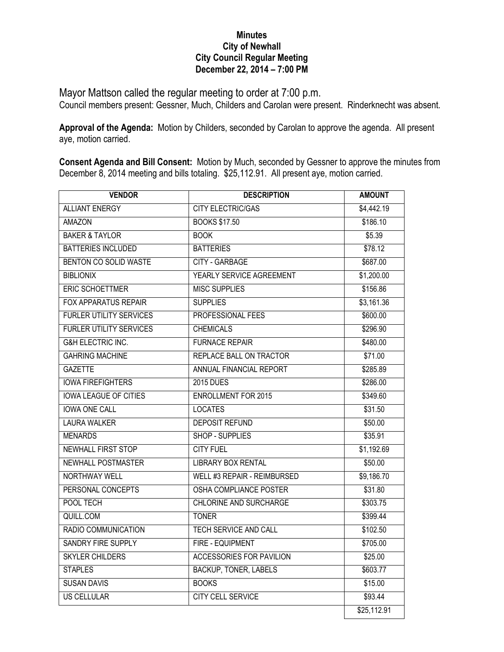## **Minutes City of Newhall City Council Regular Meeting December 22, 2014 – 7:00 PM**

Mayor Mattson called the regular meeting to order at 7:00 p.m. Council members present: Gessner, Much, Childers and Carolan were present. Rinderknecht was absent.

**Approval of the Agenda:** Motion by Childers, seconded by Carolan to approve the agenda. All present aye, motion carried.

**Consent Agenda and Bill Consent:** Motion by Much, seconded by Gessner to approve the minutes from December 8, 2014 meeting and bills totaling. \$25,112.91. All present aye, motion carried.

| <b>VENDOR</b>                  | <b>DESCRIPTION</b>                 | <b>AMOUNT</b> |
|--------------------------------|------------------------------------|---------------|
| <b>ALLIANT ENERGY</b>          | <b>CITY ELECTRIC/GAS</b>           | \$4,442.19    |
| <b>AMAZON</b>                  | <b>BOOKS \$17.50</b>               | \$186.10      |
| <b>BAKER &amp; TAYLOR</b>      | <b>BOOK</b>                        | \$5.39        |
| <b>BATTERIES INCLUDED</b>      | <b>BATTERIES</b>                   | \$78.12       |
| BENTON CO SOLID WASTE          | <b>CITY - GARBAGE</b>              | \$687.00      |
| <b>BIBLIONIX</b>               | YEARLY SERVICE AGREEMENT           | \$1,200.00    |
| <b>ERIC SCHOETTMER</b>         | <b>MISC SUPPLIES</b>               | \$156.86      |
| <b>FOX APPARATUS REPAIR</b>    | <b>SUPPLIES</b>                    | \$3,161.36    |
| <b>FURLER UTILITY SERVICES</b> | PROFESSIONAL FEES                  | \$600.00      |
| <b>FURLER UTILITY SERVICES</b> | <b>CHEMICALS</b>                   | \$296.90      |
| <b>G&amp;H ELECTRIC INC.</b>   | <b>FURNACE REPAIR</b>              | \$480.00      |
| <b>GAHRING MACHINE</b>         | REPLACE BALL ON TRACTOR            | \$71.00       |
| <b>GAZETTE</b>                 | ANNUAL FINANCIAL REPORT            | \$285.89      |
| <b>IOWA FIREFIGHTERS</b>       | <b>2015 DUES</b>                   | \$286.00      |
| <b>IOWA LEAGUE OF CITIES</b>   | <b>ENROLLMENT FOR 2015</b>         | \$349.60      |
| <b>IOWA ONE CALL</b>           | <b>LOCATES</b>                     | \$31.50       |
| <b>LAURA WALKER</b>            | <b>DEPOSIT REFUND</b>              | \$50.00       |
| <b>MENARDS</b>                 | <b>SHOP - SUPPLIES</b>             | \$35.91       |
| <b>NEWHALL FIRST STOP</b>      | <b>CITY FUEL</b>                   | \$1,192.69    |
| <b>NEWHALL POSTMASTER</b>      | <b>LIBRARY BOX RENTAL</b>          | \$50.00       |
| <b>NORTHWAY WELL</b>           | <b>WELL #3 REPAIR - REIMBURSED</b> | \$9,186.70    |
| PERSONAL CONCEPTS              | <b>OSHA COMPLIANCE POSTER</b>      | \$31.80       |
| POOL TECH                      | <b>CHLORINE AND SURCHARGE</b>      | \$303.75      |
| QUILL.COM                      | <b>TONER</b>                       | \$399.44      |
| RADIO COMMUNICATION            | <b>TECH SERVICE AND CALL</b>       | \$102.50      |
| <b>SANDRY FIRE SUPPLY</b>      | FIRE - EQUIPMENT                   | \$705.00      |
| <b>SKYLER CHILDERS</b>         | <b>ACCESSORIES FOR PAVILION</b>    | \$25.00       |
| <b>STAPLES</b>                 | <b>BACKUP, TONER, LABELS</b>       | \$603.77      |
| <b>SUSAN DAVIS</b>             | <b>BOOKS</b>                       | \$15.00       |
| <b>US CELLULAR</b>             | CITY CELL SERVICE                  | \$93.44       |
|                                |                                    | \$25,112.91   |